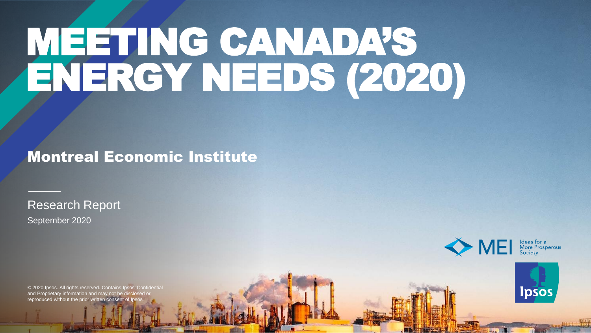# MEETING CANADA'S ENERGY NEEDS (2020)

### Montreal Economic Institute

September 2020 Research Report



© 2020 Ipsos. All rights reserved. Contains Ipsos' Confidential and Proprietary information and may not be disclosed or reproduced without the prior written consent of

**Ipsos**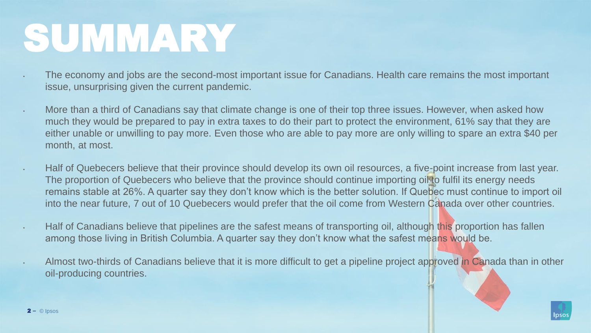## SUMMARY

- The economy and jobs are the second-most important issue for Canadians. Health care remains the most important issue, unsurprising given the current pandemic.
- More than a third of Canadians say that climate change is one of their top three issues. However, when asked how much they would be prepared to pay in extra taxes to do their part to protect the environment, 61% say that they are either unable or unwilling to pay more. Even those who are able to pay more are only willing to spare an extra \$40 per month, at most.
- Half of Quebecers believe that their province should develop its own oil resources, a five-point increase from last year. The proportion of Quebecers who believe that the province should continue importing oil to fulfil its energy needs remains stable at 26%. A quarter say they don't know which is the better solution. If Quebec must continue to import oil into the near future, 7 out of 10 Quebecers would prefer that the oil come from Western Canada over other countries.
- Half of Canadians believe that pipelines are the safest means of transporting oil, although this proportion has fallen among those living in British Columbia. A quarter say they don't know what the safest means would be.
- Almost two-thirds of Canadians believe that it is more difficult to get a pipeline project approved in Canada than in other oil-producing countries.

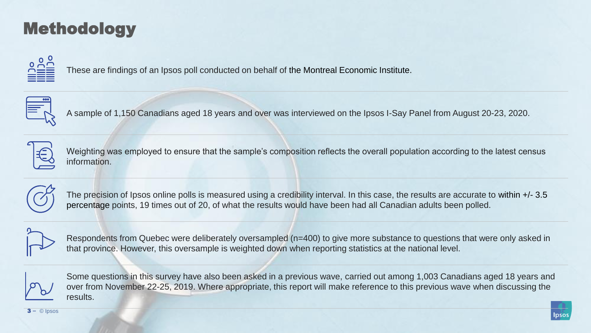## Methodology



These are findings of an Ipsos poll conducted on behalf of the Montreal Economic Institute.



A sample of 1,150 Canadians aged 18 years and over was interviewed on the Ipsos I-Say Panel from August 20-23, 2020.



Weighting was employed to ensure that the sample's composition reflects the overall population according to the latest census information.



The precision of Ipsos online polls is measured using a credibility interval. In this case, the results are accurate to within +/- 3.5 percentage points, 19 times out of 20, of what the results would have been had all Canadian adults been polled.



Respondents from Quebec were deliberately oversampled (n=400) to give more substance to questions that were only asked in that province. However, this oversample is weighted down when reporting statistics at the national level.



Some questions in this survey have also been asked in a previous wave, carried out among 1,003 Canadians aged 18 years and over from November 22-25, 2019. Where appropriate, this report will make reference to this previous wave when discussing the results.

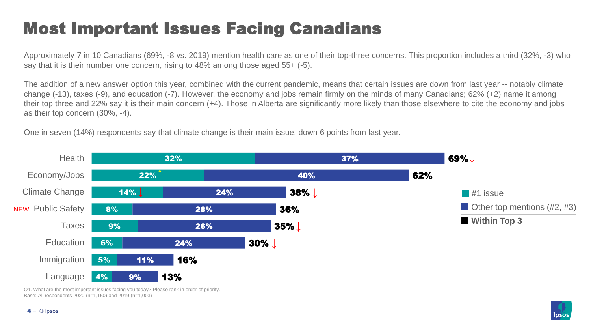## Most Important Issues Facing Canadians

Approximately 7 in 10 Canadians (69%, -8 vs. 2019) mention health care as one of their top-three concerns. This proportion includes a third (32%, -3) who say that it is their number one concern, rising to 48% among those aged 55+ (-5).

The addition of a new answer option this year, combined with the current pandemic, means that certain issues are down from last year -- notably climate change (-13), taxes (-9), and education (-7). However, the economy and jobs remain firmly on the minds of many Canadians; 62% (+2) name it among their top three and 22% say it is their main concern (+4). Those in Alberta are significantly more likely than those elsewhere to cite the economy and jobs as their top concern (30%, -4).

One in seven (14%) respondents say that climate change is their main issue, down 6 points from last year.



Q1. What are the most important issues facing you today? Please rank in order of priority. Base: All respondents 2020 (n=1,150) and 2019 (n=1,003)

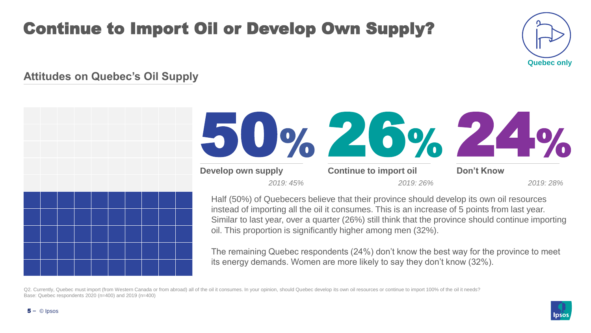## Continue to Import Oil or Develop Own Supply?



#### **Attitudes on Quebec's Oil Supply**



Q2. Currently, Quebec must import (from Western Canada or from abroad) all of the oil it consumes. In your opinion, should Quebec develop its own oil resources or continue to import 100% of the oil it needs? Base: Quebec respondents 2020 (n=400) and 2019 (n=400)

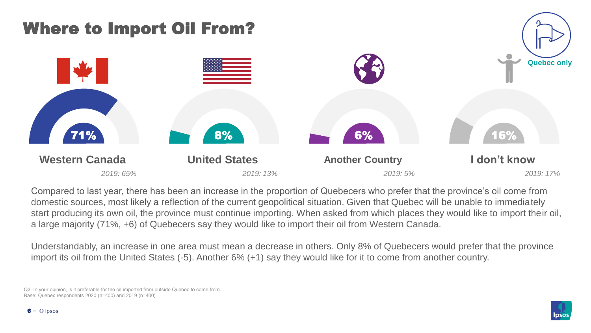

Compared to last year, there has been an increase in the proportion of Quebecers who prefer that the province's oil come from domestic sources, most likely a reflection of the current geopolitical situation. Given that Quebec will be unable to immediately start producing its own oil, the province must continue importing. When asked from which places they would like to import their oil, a large majority (71%, +6) of Quebecers say they would like to import their oil from Western Canada.

Understandably, an increase in one area must mean a decrease in others. Only 8% of Quebecers would prefer that the province import its oil from the United States (-5). Another 6% (+1) say they would like for it to come from another country.

Q3. In your opinion, is it preferable for the oil imported from outside Quebec to come from… Base: Quebec respondents 2020 (n=400) and 2019 (n=400)

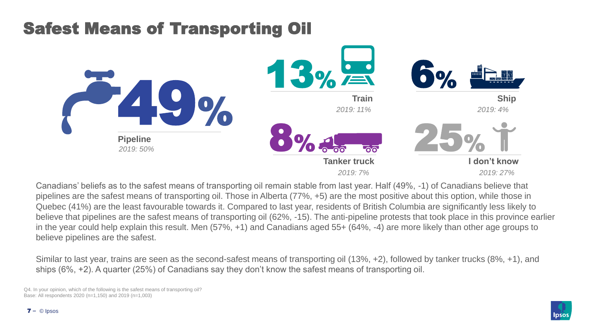## Safest Means of Transporting Oil



Canadians' beliefs as to the safest means of transporting oil remain stable from last year. Half (49%, -1) of Canadians believe that pipelines are the safest means of transporting oil. Those in Alberta (77%, +5) are the most positive about this option, while those in Quebec (41%) are the least favourable towards it. Compared to last year, residents of British Columbia are significantly less likely to believe that pipelines are the safest means of transporting oil (62%, -15). The anti-pipeline protests that took place in this province earlier in the year could help explain this result. Men (57%, +1) and Canadians aged 55+ (64%, -4) are more likely than other age groups to believe pipelines are the safest.

Similar to last year, trains are seen as the second-safest means of transporting oil (13%, +2), followed by tanker trucks (8%, +1), and ships (6%, +2). A quarter (25%) of Canadians say they don't know the safest means of transporting oil.

Q4. In your opinion, which of the following is the safest means of transporting oil? Base: All respondents 2020 (n=1,150) and 2019 (n=1,003)

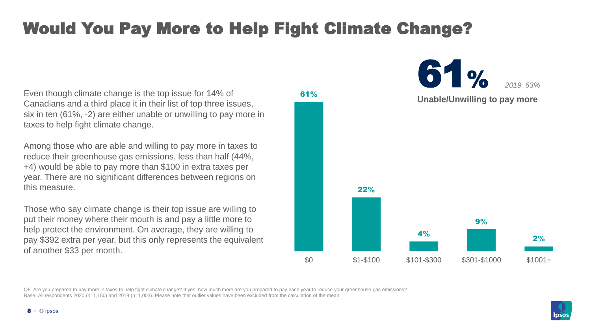## Would You Pay More to Help Fight Climate Change?

61%

Even though climate change is the top issue for 14% of Canadians and a third place it in their list of top three issues, six in ten (61%, -2) are either unable or unwilling to pay more in taxes to help fight climate change.

Among those who are able and willing to pay more in taxes to reduce their greenhouse gas emissions, less than half (44%, +4) would be able to pay more than \$100 in extra taxes per year. There are no significant differences between regions on this measure.

Those who say climate change is their top issue are willing to put their money where their mouth is and pay a little more to help protect the environment. On average, they are willing to pay \$392 extra per year, but this only represents the equivalent of another \$33 per month.





Q5. Are you prepared to pay more in taxes to help fight climate change? If yes, how much more are you prepared to pay each year to reduce your greenhouse gas emissions? Base: All respondents 2020 (n=1,150) and 2019 (n=1,003). Please note that outlier values have been excluded from the calculation of the mean.

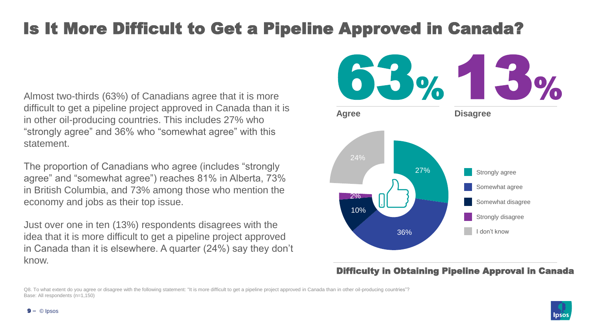## Is It More Difficult to Get a Pipeline Approved in Canada?

Almost two-thirds (63%) of Canadians agree that it is more difficult to get a pipeline project approved in Canada than it is in other oil-producing countries. This includes 27% who "strongly agree" and 36% who "somewhat agree" with this statement.

The proportion of Canadians who agree (includes "strongly agree" and "somewhat agree") reaches 81% in Alberta, 73% in British Columbia, and 73% among those who mention the economy and jobs as their top issue.

Just over one in ten (13%) respondents disagrees with the idea that it is more difficult to get a pipeline project approved in Canada than it is elsewhere. A quarter (24%) say they don't know.



#### Difficulty in Obtaining Pipeline Approval in Canada

Q8. To what extent do you agree or disagree with the following statement: "It is more difficult to get a pipeline project approved in Canada than in other oil-producing countries"? Base: All respondents (n=1,150)